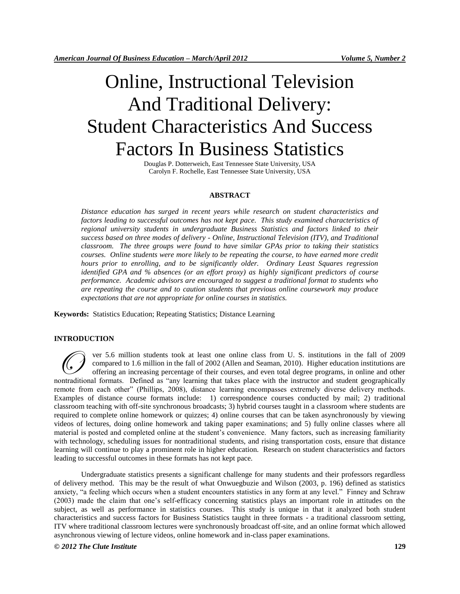# Online, Instructional Television And Traditional Delivery: Student Characteristics And Success Factors In Business Statistics

Douglas P. Dotterweich, East Tennessee State University, USA Carolyn F. Rochelle, East Tennessee State University, USA

## **ABSTRACT**

*Distance education has surged in recent years while research on student characteristics and factors leading to successful outcomes has not kept pace. This study examined characteristics of regional university students in undergraduate Business Statistics and factors linked to their success based on three modes of delivery - Online, Instructional Television (ITV), and Traditional classroom. The three groups were found to have similar GPAs prior to taking their statistics courses. Online students were more likely to be repeating the course, to have earned more credit hours prior to enrolling, and to be significantly older. Ordinary Least Squares regression identified GPA and % absences (or an effort proxy) as highly significant predictors of course performance. Academic advisors are encouraged to suggest a traditional format to students who are repeating the course and to caution students that previous online coursework may produce expectations that are not appropriate for online courses in statistics.* 

**Keywords:** Statistics Education; Repeating Statistics; Distance Learning

### **INTRODUCTION**

ver 5.6 million students took at least one online class from U. S. institutions in the fall of 2009 compared to 1.6 million in the fall of 2002 (Allen and Seaman, 2010). Higher education institutions are offering an increasing percentage of their courses, and even total degree programs, in online and other ver 5.6 million students took at least one online class from U. S. institutions in the fall of 2009 compared to 1.6 million in the fall of 2002 (Allen and Seaman, 2010). Higher education institutions are offering an increa remote from each other" (Phillips, 2008), distance learning encompasses extremely diverse delivery methods. Examples of distance course formats include: 1) correspondence courses conducted by mail; 2) traditional classroom teaching with off-site synchronous broadcasts; 3) hybrid courses taught in a classroom where students are required to complete online homework or quizzes; 4) online courses that can be taken asynchronously by viewing videos of lectures, doing online homework and taking paper examinations; and 5) fully online classes where all material is posted and completed online at the student's convenience. Many factors, such as increasing familiarity with technology, scheduling issues for nontraditional students, and rising transportation costs, ensure that distance learning will continue to play a prominent role in higher education. Research on student characteristics and factors leading to successful outcomes in these formats has not kept pace.

Undergraduate statistics presents a significant challenge for many students and their professors regardless of delivery method. This may be the result of what Onwuegbuzie and Wilson (2003, p. 196) defined as statistics anxiety, "a feeling which occurs when a student encounters statistics in any form at any level." Finney and Schraw (2003) made the claim that one's self-efficacy concerning statistics plays an important role in attitudes on the subject, as well as performance in statistics courses. This study is unique in that it analyzed both student characteristics and success factors for Business Statistics taught in three formats - a traditional classroom setting, ITV where traditional classroom lectures were synchronously broadcast off-site, and an online format which allowed asynchronous viewing of lecture videos, online homework and in-class paper examinations.

# *© 2012 The Clute Institute* **129**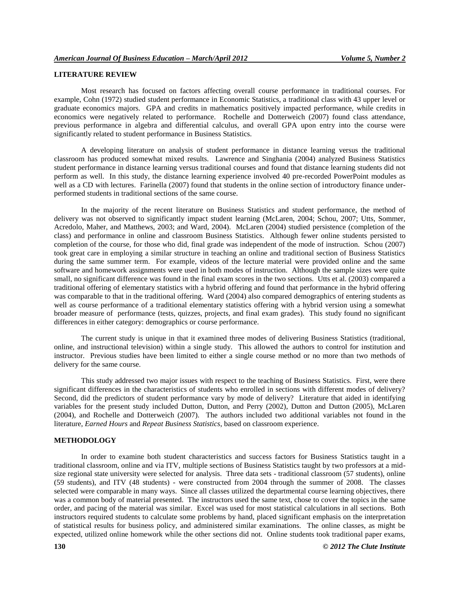# **LITERATURE REVIEW**

Most research has focused on factors affecting overall course performance in traditional courses. For example, Cohn (1972) studied student performance in Economic Statistics, a traditional class with 43 upper level or graduate economics majors. GPA and credits in mathematics positively impacted performance, while credits in economics were negatively related to performance. Rochelle and Dotterweich (2007) found class attendance, previous performance in algebra and differential calculus, and overall GPA upon entry into the course were significantly related to student performance in Business Statistics.

A developing literature on analysis of student performance in distance learning versus the traditional classroom has produced somewhat mixed results. Lawrence and Singhania (2004) analyzed Business Statistics student performance in distance learning versus traditional courses and found that distance learning students did not perform as well. In this study, the distance learning experience involved 40 pre-recorded PowerPoint modules as well as a CD with lectures. Farinella (2007) found that students in the online section of introductory finance underperformed students in traditional sections of the same course.

In the majority of the recent literature on Business Statistics and student performance, the method of delivery was not observed to significantly impact student learning (McLaren, 2004; Schou, 2007; Utts, Sommer, Acredolo, Maher, and Matthews, 2003; and Ward, 2004). McLaren (2004) studied persistence (completion of the class) and performance in online and classroom Business Statistics. Although fewer online students persisted to completion of the course, for those who did, final grade was independent of the mode of instruction. Schou (2007) took great care in employing a similar structure in teaching an online and traditional section of Business Statistics during the same summer term. For example, videos of the lecture material were provided online and the same software and homework assignments were used in both modes of instruction. Although the sample sizes were quite small, no significant difference was found in the final exam scores in the two sections. Utts et al. (2003) compared a traditional offering of elementary statistics with a hybrid offering and found that performance in the hybrid offering was comparable to that in the traditional offering. Ward (2004) also compared demographics of entering students as well as course performance of a traditional elementary statistics offering with a hybrid version using a somewhat broader measure of performance (tests, quizzes, projects, and final exam grades). This study found no significant differences in either category: demographics or course performance.

The current study is unique in that it examined three modes of delivering Business Statistics (traditional, online, and instructional television) within a single study. This allowed the authors to control for institution and instructor. Previous studies have been limited to either a single course method or no more than two methods of delivery for the same course.

This study addressed two major issues with respect to the teaching of Business Statistics. First, were there significant differences in the characteristics of students who enrolled in sections with different modes of delivery? Second, did the predictors of student performance vary by mode of delivery? Literature that aided in identifying variables for the present study included Dutton, Dutton, and Perry (2002), Dutton and Dutton (2005), McLaren (2004), and Rochelle and Dotterweich (2007). The authors included two additional variables not found in the literature, *Earned Hours* and *Repeat Business Statistics*, based on classroom experience.

## **METHODOLOGY**

In order to examine both student characteristics and success factors for Business Statistics taught in a traditional classroom, online and via ITV, multiple sections of Business Statistics taught by two professors at a midsize regional state university were selected for analysis. Three data sets - traditional classroom (57 students), online (59 students), and ITV (48 students) - were constructed from 2004 through the summer of 2008. The classes selected were comparable in many ways. Since all classes utilized the departmental course learning objectives, there was a common body of material presented. The instructors used the same text, chose to cover the topics in the same order, and pacing of the material was similar. Excel was used for most statistical calculations in all sections. Both instructors required students to calculate some problems by hand, placed significant emphasis on the interpretation of statistical results for business policy, and administered similar examinations. The online classes, as might be expected, utilized online homework while the other sections did not. Online students took traditional paper exams,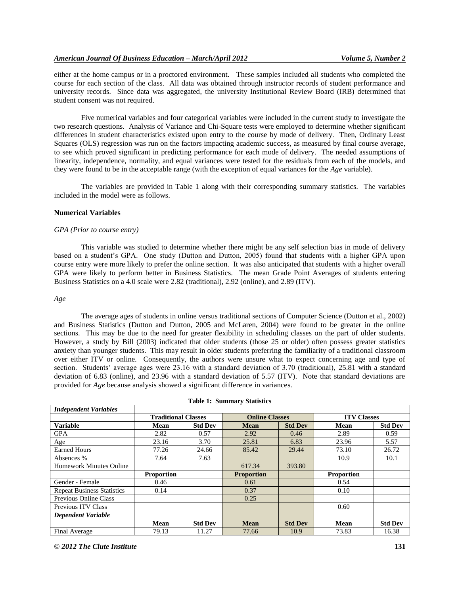either at the home campus or in a proctored environment. These samples included all students who completed the course for each section of the class. All data was obtained through instructor records of student performance and university records. Since data was aggregated, the university Institutional Review Board (IRB) determined that student consent was not required.

Five numerical variables and four categorical variables were included in the current study to investigate the two research questions. Analysis of Variance and Chi-Square tests were employed to determine whether significant differences in student characteristics existed upon entry to the course by mode of delivery. Then, Ordinary Least Squares (OLS) regression was run on the factors impacting academic success, as measured by final course average, to see which proved significant in predicting performance for each mode of delivery. The needed assumptions of linearity, independence, normality, and equal variances were tested for the residuals from each of the models, and they were found to be in the acceptable range (with the exception of equal variances for the *Age* variable).

The variables are provided in Table 1 along with their corresponding summary statistics. The variables included in the model were as follows.

## **Numerical Variables**

## *GPA (Prior to course entry)*

This variable was studied to determine whether there might be any self selection bias in mode of delivery based on a student's GPA. One study (Dutton and Dutton, 2005) found that students with a higher GPA upon course entry were more likely to prefer the online section. It was also anticipated that students with a higher overall GPA were likely to perform better in Business Statistics. The mean Grade Point Averages of students entering Business Statistics on a 4.0 scale were 2.82 (traditional), 2.92 (online), and 2.89 (ITV).

## *Age*

The average ages of students in online versus traditional sections of Computer Science (Dutton et al., 2002) and Business Statistics (Dutton and Dutton, 2005 and McLaren, 2004) were found to be greater in the online sections. This may be due to the need for greater flexibility in scheduling classes on the part of older students. However, a study by Bill (2003) indicated that older students (those 25 or older) often possess greater statistics anxiety than younger students. This may result in older students preferring the familiarity of a traditional classroom over either ITV or online. Consequently, the authors were unsure what to expect concerning age and type of section. Students' average ages were 23.16 with a standard deviation of 3.70 (traditional), 25.81 with a standard deviation of 6.83 (online), and 23.96 with a standard deviation of 5.57 (ITV). Note that standard deviations are provided for *Age* because analysis showed a significant difference in variances.

| Table 1: Summary Statistics       |                            |                |                       |                |                    |                |  |  |  |
|-----------------------------------|----------------------------|----------------|-----------------------|----------------|--------------------|----------------|--|--|--|
| <b>Independent Variables</b>      |                            |                |                       |                |                    |                |  |  |  |
|                                   | <b>Traditional Classes</b> |                | <b>Online Classes</b> |                | <b>ITV Classes</b> |                |  |  |  |
| <b>Variable</b>                   | Mean                       | <b>Std Dev</b> | <b>Mean</b>           | <b>Std Dev</b> | Mean               | <b>Std Dev</b> |  |  |  |
| <b>GPA</b>                        | 2.82                       | 0.57           | 2.92                  | 0.46           | 2.89               | 0.59           |  |  |  |
| Age                               | 23.16                      | 3.70           | 25.81                 | 6.83           | 23.96              | 5.57           |  |  |  |
| <b>Earned Hours</b>               | 77.26                      | 24.66          | 85.42                 | 29.44          | 73.10              | 26.72          |  |  |  |
| Absences %                        | 7.64                       | 7.63           |                       |                | 10.9               | 10.1           |  |  |  |
| <b>Homework Minutes Online</b>    |                            |                | 617.34                | 393.80         |                    |                |  |  |  |
|                                   | <b>Proportion</b>          |                | <b>Proportion</b>     |                | <b>Proportion</b>  |                |  |  |  |
| Gender - Female                   | 0.46                       |                | 0.61                  |                | 0.54               |                |  |  |  |
| <b>Repeat Business Statistics</b> | 0.14                       |                | 0.37                  |                | 0.10               |                |  |  |  |
| Previous Online Class             |                            |                | 0.25                  |                |                    |                |  |  |  |
| Previous ITV Class                |                            |                |                       |                | 0.60               |                |  |  |  |
| Dependent Variable                |                            |                |                       |                |                    |                |  |  |  |
|                                   | <b>Mean</b>                | <b>Std Dev</b> | <b>Mean</b>           | <b>Std Dev</b> | Mean               | <b>Std Dev</b> |  |  |  |
| Final Average                     | 79.13                      | 11.27          | 77.66                 | 10.9           | 73.83              | 16.38          |  |  |  |

**Table 1: Summary Statistics**

*© 2012 The Clute Institute* **131**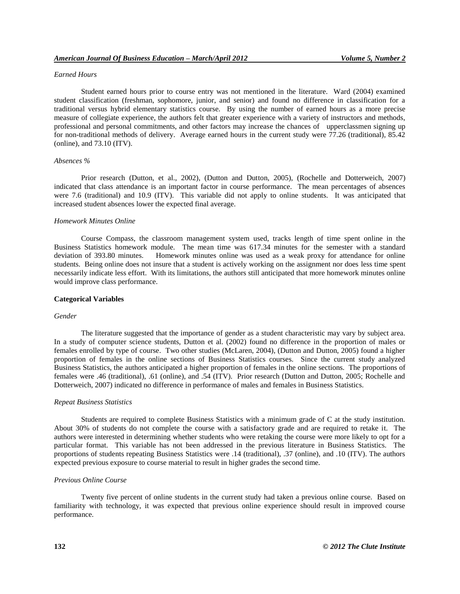# *Earned Hours*

Student earned hours prior to course entry was not mentioned in the literature. Ward (2004) examined student classification (freshman, sophomore, junior, and senior) and found no difference in classification for a traditional versus hybrid elementary statistics course. By using the number of earned hours as a more precise measure of collegiate experience, the authors felt that greater experience with a variety of instructors and methods, professional and personal commitments, and other factors may increase the chances of upperclassmen signing up for non-traditional methods of delivery. Average earned hours in the current study were 77.26 (traditional), 85.42 (online), and 73.10 (ITV).

# *Absences %*

Prior research (Dutton, et al., 2002), (Dutton and Dutton, 2005), (Rochelle and Dotterweich, 2007) indicated that class attendance is an important factor in course performance. The mean percentages of absences were 7.6 (traditional) and 10.9 (ITV). This variable did not apply to online students. It was anticipated that increased student absences lower the expected final average.

## *Homework Minutes Online*

Course Compass, the classroom management system used, tracks length of time spent online in the Business Statistics homework module. The mean time was 617.34 minutes for the semester with a standard deviation of 393.80 minutes. Homework minutes online was used as a weak proxy for attendance for online students. Being online does not insure that a student is actively working on the assignment nor does less time spent necessarily indicate less effort. With its limitations, the authors still anticipated that more homework minutes online would improve class performance.

### **Categorical Variables**

## *Gender*

The literature suggested that the importance of gender as a student characteristic may vary by subject area. In a study of computer science students, Dutton et al. (2002) found no difference in the proportion of males or females enrolled by type of course. Two other studies (McLaren, 2004), (Dutton and Dutton, 2005) found a higher proportion of females in the online sections of Business Statistics courses. Since the current study analyzed Business Statistics, the authors anticipated a higher proportion of females in the online sections. The proportions of females were .46 (traditional), .61 (online), and .54 (ITV). Prior research (Dutton and Dutton, 2005; Rochelle and Dotterweich, 2007) indicated no difference in performance of males and females in Business Statistics.

## *Repeat Business Statistics*

Students are required to complete Business Statistics with a minimum grade of C at the study institution. About 30% of students do not complete the course with a satisfactory grade and are required to retake it. The authors were interested in determining whether students who were retaking the course were more likely to opt for a particular format. This variable has not been addressed in the previous literature in Business Statistics. The proportions of students repeating Business Statistics were .14 (traditional), .37 (online), and .10 (ITV). The authors expected previous exposure to course material to result in higher grades the second time.

## *Previous Online Course*

Twenty five percent of online students in the current study had taken a previous online course. Based on familiarity with technology, it was expected that previous online experience should result in improved course performance.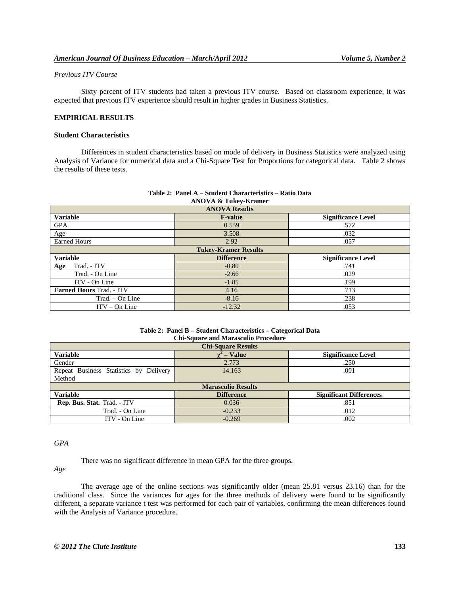# *Previous ITV Course*

Sixty percent of ITV students had taken a previous ITV course. Based on classroom experience, it was expected that previous ITV experience should result in higher grades in Business Statistics.

# **EMPIRICAL RESULTS**

## **Student Characteristics**

Differences in student characteristics based on mode of delivery in Business Statistics were analyzed using Analysis of Variance for numerical data and a Chi-Square Test for Proportions for categorical data. Table 2 shows the results of these tests.

| <b>ANOVA Results</b>            |                   |                           |  |  |  |
|---------------------------------|-------------------|---------------------------|--|--|--|
| <b>Variable</b>                 | <b>F-value</b>    | <b>Significance Level</b> |  |  |  |
| <b>GPA</b>                      | 0.559             | .572                      |  |  |  |
| Age                             | 3.508             | .032                      |  |  |  |
| <b>Earned Hours</b>             | 2.92              | .057                      |  |  |  |
| <b>Tukey-Kramer Results</b>     |                   |                           |  |  |  |
| <b>Variable</b>                 | <b>Difference</b> | <b>Significance Level</b> |  |  |  |
| Trad. - ITV<br>Age              | $-0.80$           | .741                      |  |  |  |
| Trad. - On Line                 | $-2.66$           | .029                      |  |  |  |
| ITV - On Line                   | $-1.85$           | .199                      |  |  |  |
| <b>Earned Hours Trad. - ITV</b> | 4.16              | .713                      |  |  |  |
| Trad. – On Line                 | $-8.16$           | .238                      |  |  |  |
| $ITV - On Line$                 | $-12.32$          | .053                      |  |  |  |

### **Table 2: Panel A – Student Characteristics – Ratio Data ANOVA & Tukey-Kramer**

#### **Table 2: Panel B – Student Characteristics – Categorical Data Chi-Square and Marasculio Procedure**

| <b>Chi-Square Results</b>              |                   |                                |  |  |  |  |
|----------------------------------------|-------------------|--------------------------------|--|--|--|--|
| <b>Variable</b>                        | $-$ Value         | <b>Significance Level</b>      |  |  |  |  |
| Gender                                 | 2.773             | .250                           |  |  |  |  |
| Repeat Business Statistics by Delivery | 14.163            | .001                           |  |  |  |  |
| Method                                 |                   |                                |  |  |  |  |
| <b>Marasculio Results</b>              |                   |                                |  |  |  |  |
| <b>Variable</b>                        | <b>Difference</b> | <b>Significant Differences</b> |  |  |  |  |
| Rep. Bus. Stat. Trad. - ITV            | 0.036             | .851                           |  |  |  |  |
| Trad. - On Line                        | $-0.233$          | .012                           |  |  |  |  |
| ITV - On Line                          | $-0.269$          | .002                           |  |  |  |  |

## *GPA*

There was no significant difference in mean GPA for the three groups.

*Age*

The average age of the online sections was significantly older (mean 25.81 versus 23.16) than for the traditional class. Since the variances for ages for the three methods of delivery were found to be significantly different, a separate variance t test was performed for each pair of variables, confirming the mean differences found with the Analysis of Variance procedure.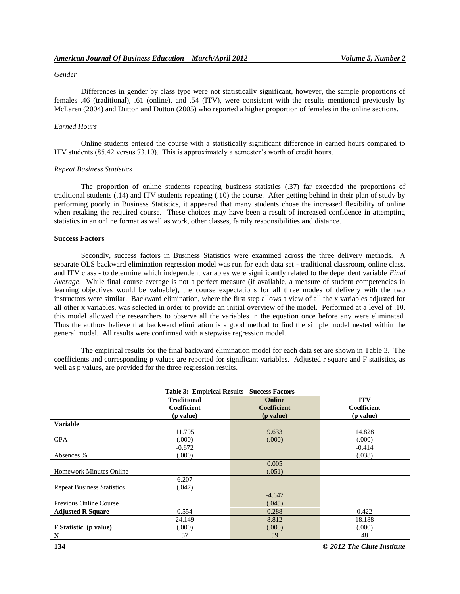## *Gender*

Differences in gender by class type were not statistically significant, however, the sample proportions of females .46 (traditional), .61 (online), and .54 (ITV), were consistent with the results mentioned previously by McLaren (2004) and Dutton and Dutton (2005) who reported a higher proportion of females in the online sections.

#### *Earned Hours*

Online students entered the course with a statistically significant difference in earned hours compared to ITV students (85.42 versus 73.10). This is approximately a semester's worth of credit hours.

## *Repeat Business Statistics*

The proportion of online students repeating business statistics (.37) far exceeded the proportions of traditional students (.14) and ITV students repeating (.10) the course. After getting behind in their plan of study by performing poorly in Business Statistics, it appeared that many students chose the increased flexibility of online when retaking the required course. These choices may have been a result of increased confidence in attempting statistics in an online format as well as work, other classes, family responsibilities and distance.

# **Success Factors**

Secondly, success factors in Business Statistics were examined across the three delivery methods. A separate OLS backward elimination regression model was run for each data set - traditional classroom, online class, and ITV class - to determine which independent variables were significantly related to the dependent variable *Final Average*. While final course average is not a perfect measure (if available, a measure of student competencies in learning objectives would be valuable), the course expectations for all three modes of delivery with the two instructors were similar. Backward elimination, where the first step allows a view of all the x variables adjusted for all other x variables, was selected in order to provide an initial overview of the model. Performed at a level of .10, this model allowed the researchers to observe all the variables in the equation once before any were eliminated. Thus the authors believe that backward elimination is a good method to find the simple model nested within the general model. All results were confirmed with a stepwise regression model.

The empirical results for the final backward elimination model for each data set are shown in Table 3. The coefficients and corresponding p values are reported for significant variables. Adjusted r square and F statistics, as well as p values, are provided for the three regression results.

| <b>Table 3: Empirical Results - Success Factors</b> |                    |                    |             |  |  |  |
|-----------------------------------------------------|--------------------|--------------------|-------------|--|--|--|
|                                                     | <b>Traditional</b> | Online             | <b>ITV</b>  |  |  |  |
|                                                     | Coefficient        | <b>Coefficient</b> | Coefficient |  |  |  |
|                                                     | (p value)          | ( <i>p</i> value)  | (p value)   |  |  |  |
| <b>Variable</b>                                     |                    |                    |             |  |  |  |
|                                                     | 11.795             | 9.633              | 14.828      |  |  |  |
| <b>GPA</b>                                          | (000)              | (.000)             | (.000)      |  |  |  |
|                                                     | $-0.672$           |                    | $-0.414$    |  |  |  |
| Absences %                                          | (.000)             |                    | (.038)      |  |  |  |
|                                                     |                    | 0.005              |             |  |  |  |
| <b>Homework Minutes Online</b>                      |                    | (.051)             |             |  |  |  |
|                                                     | 6.207              |                    |             |  |  |  |
| <b>Repeat Business Statistics</b>                   | (.047)             |                    |             |  |  |  |
|                                                     |                    | $-4.647$           |             |  |  |  |
| Previous Online Course                              |                    | (.045)             |             |  |  |  |
| <b>Adjusted R Square</b>                            | 0.554              | 0.288              | 0.422       |  |  |  |
|                                                     | 24.149             | 8.812              | 18.188      |  |  |  |
| F Statistic (p value)                               | (000)              | (0.000)            | (.000)      |  |  |  |
| ${\bf N}$                                           | 57                 | 59                 | 48          |  |  |  |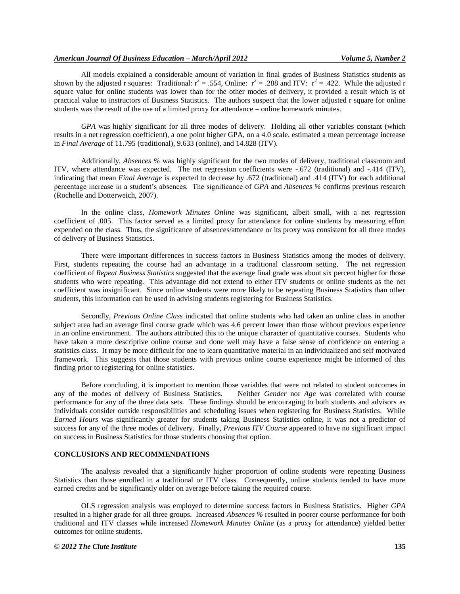All models explained a considerable amount of variation in final grades of Business Statistics students as shown by the adjusted r squares: Traditional:  $r^2 = .554$ , Online:  $r^2 = .288$  and ITV:  $r^2 = .422$ . While the adjusted r square value for online students was lower than for the other modes of delivery, it provided a result which is of practical value to instructors of Business Statistics. The authors suspect that the lower adjusted r square for online students was the result of the use of a limited proxy for attendance – online homework minutes.

*GPA* was highly significant for all three modes of delivery. Holding all other variables constant (which results in a net regression coefficient), a one point higher GPA, on a 4.0 scale, estimated a mean percentage increase in *Final Average* of 11.795 (traditional), 9.633 (online), and 14.828 (ITV).

Additionally, *Absences %* was highly significant for the two modes of delivery, traditional classroom and ITV, where attendance was expected. The net regression coefficients were -.672 (traditional) and -.414 (ITV), indicating that mean *Final Average* is expected to decrease by .672 (traditional) and .414 (ITV) for each additional percentage increase in a student's absences. The significance of *GPA* and *Absences %* confirms previous research (Rochelle and Dotterweich, 2007).

In the online class, *Homework Minutes Online* was significant, albeit small, with a net regression coefficient of .005. This factor served as a limited proxy for attendance for online students by measuring effort expended on the class. Thus, the significance of absences/attendance or its proxy was consistent for all three modes of delivery of Business Statistics.

There were important differences in success factors in Business Statistics among the modes of delivery. First, students repeating the course had an advantage in a traditional classroom setting. The net regression coefficient of *Repeat Business Statistics* suggested that the average final grade was about six percent higher for those students who were repeating. This advantage did not extend to either ITV students or online students as the net coefficient was insignificant. Since online students were more likely to be repeating Business Statistics than other students, this information can be used in advising students registering for Business Statistics.

Secondly, *Previous Online Class* indicated that online students who had taken an online class in another subject area had an average final course grade which was 4.6 percent lower than those without previous experience in an online environment. The authors attributed this to the unique character of quantitative courses. Students who have taken a more descriptive online course and done well may have a false sense of confidence on entering a statistics class. It may be more difficult for one to learn quantitative material in an individualized and self motivated framework. This suggests that those students with previous online course experience might be informed of this finding prior to registering for online statistics.

Before concluding, it is important to mention those variables that were not related to student outcomes in any of the modes of delivery of Business Statistics. Neither *Gender* nor *Age* was correlated with course Neither *Gender* nor *Age* was correlated with course performance for any of the three data sets. These findings should be encouraging to both students and advisors as individuals consider outside responsibilities and scheduling issues when registering for Business Statistics. While *Earned Hours* was significantly greater for students taking Business Statistics online, it was not a predictor of success for any of the three modes of delivery. Finally, *Previous ITV Course* appeared to have no significant impact on success in Business Statistics for those students choosing that option.

# **CONCLUSIONS AND RECOMMENDATIONS**

The analysis revealed that a significantly higher proportion of online students were repeating Business Statistics than those enrolled in a traditional or ITV class. Consequently, online students tended to have more earned credits and be significantly older on average before taking the required course.

OLS regression analysis was employed to determine success factors in Business Statistics. Higher *GPA* resulted in a higher grade for all three groups. Increased *Absences %* resulted in poorer course performance for both traditional and ITV classes while increased *Homework Minutes Online* (as a proxy for attendance) yielded better outcomes for online students.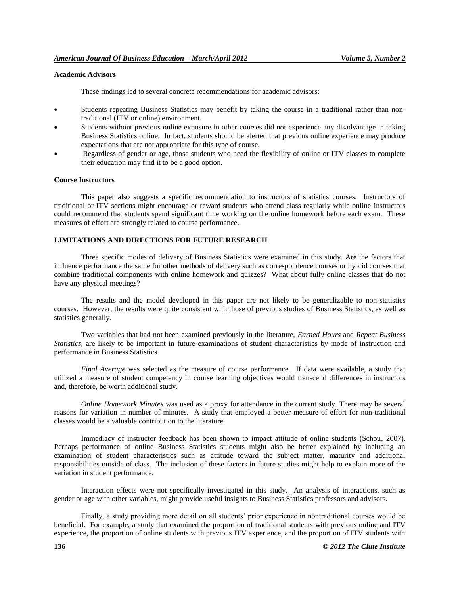# **Academic Advisors**

These findings led to several concrete recommendations for academic advisors:

- Students repeating Business Statistics may benefit by taking the course in a traditional rather than nontraditional (ITV or online) environment.
- Students without previous online exposure in other courses did not experience any disadvantage in taking Business Statistics online. In fact, students should be alerted that previous online experience may produce expectations that are not appropriate for this type of course.
- Regardless of gender or age, those students who need the flexibility of online or ITV classes to complete their education may find it to be a good option.

## **Course Instructors**

This paper also suggests a specific recommendation to instructors of statistics courses. Instructors of traditional or ITV sections might encourage or reward students who attend class regularly while online instructors could recommend that students spend significant time working on the online homework before each exam. These measures of effort are strongly related to course performance.

# **LIMITATIONS AND DIRECTIONS FOR FUTURE RESEARCH**

Three specific modes of delivery of Business Statistics were examined in this study. Are the factors that influence performance the same for other methods of delivery such as correspondence courses or hybrid courses that combine traditional components with online homework and quizzes? What about fully online classes that do not have any physical meetings?

The results and the model developed in this paper are not likely to be generalizable to non-statistics courses. However, the results were quite consistent with those of previous studies of Business Statistics, as well as statistics generally.

Two variables that had not been examined previously in the literature, *Earned Hours* and *Repeat Business Statistics*, are likely to be important in future examinations of student characteristics by mode of instruction and performance in Business Statistics.

*Final Average* was selected as the measure of course performance. If data were available, a study that utilized a measure of student competency in course learning objectives would transcend differences in instructors and, therefore, be worth additional study.

*Online Homework Minutes* was used as a proxy for attendance in the current study. There may be several reasons for variation in number of minutes. A study that employed a better measure of effort for non-traditional classes would be a valuable contribution to the literature.

Immediacy of instructor feedback has been shown to impact attitude of online students (Schou, 2007). Perhaps performance of online Business Statistics students might also be better explained by including an examination of student characteristics such as attitude toward the subject matter, maturity and additional responsibilities outside of class. The inclusion of these factors in future studies might help to explain more of the variation in student performance.

Interaction effects were not specifically investigated in this study. An analysis of interactions, such as gender or age with other variables, might provide useful insights to Business Statistics professors and advisors.

Finally, a study providing more detail on all students' prior experience in nontraditional courses would be beneficial. For example, a study that examined the proportion of traditional students with previous online and ITV experience, the proportion of online students with previous ITV experience, and the proportion of ITV students with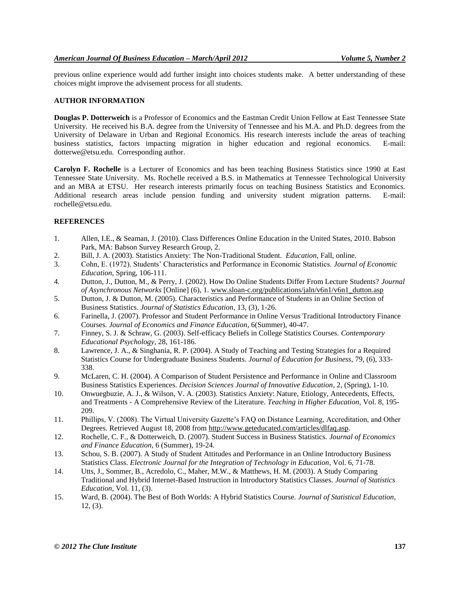previous online experience would add further insight into choices students make. A better understanding of these choices might improve the advisement process for all students.

# **AUTHOR INFORMATION**

**Douglas P. Dotterweich** is a Professor of Economics and the Eastman Credit Union Fellow at East Tennessee State University. He received his B.A. degree from the University of Tennessee and his M.A. and Ph.D. degrees from the University of Delaware in Urban and Regional Economics. His research interests include the areas of teaching business statistics, factors impacting migration in higher education and regional economics. E-mail: dotterwe@etsu.edu. Corresponding author.

**Carolyn F. Rochelle** is a Lecturer of Economics and has been teaching Business Statistics since 1990 at East Tennessee State University. Ms. Rochelle received a B.S. in Mathematics at Tennessee Technological University and an MBA at ETSU. Her research interests primarily focus on teaching Business Statistics and Economics. Additional research areas include pension funding and university student migration patterns. E-mail: rochelle@etsu.edu.

# **REFERENCES**

- 1. Allen, I.E., & Seaman, J. (2010). Class Differences Online Education in the United States, 2010. Babson Park, MA: Babson Survey Research Group, 2.
- 2. Bill, J. A. (2003). Statistics Anxiety: The Non-Traditional Student. *Education,* Fall, online.
- 3. Cohn, E. (1972). Students' Characteristics and Performance in Economic Statistics. *Journal of Economic Education*, Spring, 106-111.
- 4. Dutton, J., Dutton, M., & Perry, J. (2002). How Do Online Students Differ From Lecture Students? *Journal of Asynchronous Networks* [Online] (6), 1[. www.sloan-c.org/publications/jaln/v6n1/v6n1\\_dutton.asp](http://www.sloan-c.org/publications/jaln/v6n1/v6n1_dutton.asp)
- 5. Dutton, J. & Dutton, M. (2005). Characteristics and Performance of Students in an Online Section of Business Statistics. *Journal of Statistics Education*, 13, (3), 1-26.
- 6. Farinella, J. (2007). Professor and Student Performance in Online Versus Traditional Introductory Finance Courses. *Journal of Economics and Finance Education*, 6(Summer), 40-47.
- 7. Finney, S. J. & Schraw, G. (2003). Self-efficacy Beliefs in College Statistics Courses. *Contemporary Educational Psychology*, 28, 161-186.
- 8. Lawrence, J. A., & Singhania, R. P. (2004). A Study of Teaching and Testing Strategies for a Required Statistics Course for Undergraduate Business Students. *Journal of Education for Business*, 79, (6), 333- 338.
- 9. McLaren, C. H. (2004). A Comparison of Student Persistence and Performance in Online and Classroom Business Statistics Experiences. *Decision Sciences Journal of Innovative Education*, 2, (Spring), 1-10.
- 10. Onwuegbuzie, A. J., & Wilson, V. A. (2003). Statistics Anxiety: Nature, Etiology, Antecedents, Effects, and Treatments - A Comprehensive Review of the Literature. *Teaching in Higher Education*, Vol. 8, 195- 209.
- 11. Phillips, V. (2008). The Virtual University Gazette's FAQ on Distance Learning, Accreditation, and Other Degrees. Retrieved August 18, 2008 from [http://www.geteducated.com/articles/dlfaq.asp.](http://www.geteducated.com/articles/dlfaq.asp)
- 12. Rochelle, C. F., & Dotterweich, D. (2007). Student Success in Business Statistics. *Journal of Economics and Finance Education*, 6 (Summer), 19-24.
- 13. Schou, S. B. (2007). A Study of Student Attitudes and Performance in an Online Introductory Business Statistics Class. *Electronic Journal for the Integration of Technology in Education*, Vol. 6, 71-78.
- 14. Utts, J., Sommer, B., Acredolo, C., Maher, M.W., & Matthews, H. M. (2003). A Study Comparing Traditional and Hybrid Internet-Based Instruction in Introductory Statistics Classes. *Journal of Statistics Education*, Vol. 11, (3).
- 15. Ward, B. (2004). The Best of Both Worlds: A Hybrid Statistics Course. *Journal of Statistical Education*, 12, (3).